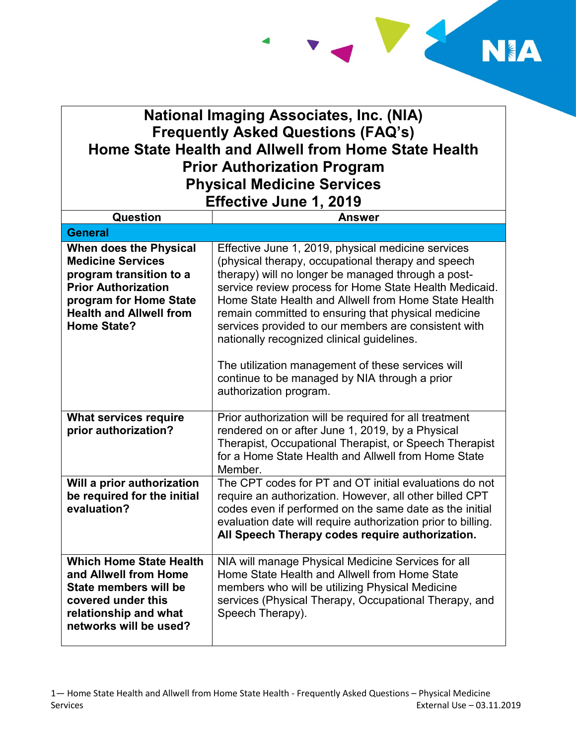

## **National Imaging Associates, Inc. (NIA) Frequently Asked Questions (FAQ's) Home State Health and Allwell from Home State Health Prior Authorization Program Physical Medicine Services Effective June 1, 2019**

| Question                                                                                                                                                                                      | <b>Answer</b>                                                                                                                                                                                                                                                                                                                                                                                                                                                                                                                                                                 |
|-----------------------------------------------------------------------------------------------------------------------------------------------------------------------------------------------|-------------------------------------------------------------------------------------------------------------------------------------------------------------------------------------------------------------------------------------------------------------------------------------------------------------------------------------------------------------------------------------------------------------------------------------------------------------------------------------------------------------------------------------------------------------------------------|
| <b>General</b>                                                                                                                                                                                |                                                                                                                                                                                                                                                                                                                                                                                                                                                                                                                                                                               |
| When does the Physical<br><b>Medicine Services</b><br>program transition to a<br><b>Prior Authorization</b><br>program for Home State<br><b>Health and Allwell from</b><br><b>Home State?</b> | Effective June 1, 2019, physical medicine services<br>(physical therapy, occupational therapy and speech<br>therapy) will no longer be managed through a post-<br>service review process for Home State Health Medicaid.<br>Home State Health and Allwell from Home State Health<br>remain committed to ensuring that physical medicine<br>services provided to our members are consistent with<br>nationally recognized clinical guidelines.<br>The utilization management of these services will<br>continue to be managed by NIA through a prior<br>authorization program. |
| <b>What services require</b><br>prior authorization?                                                                                                                                          | Prior authorization will be required for all treatment<br>rendered on or after June 1, 2019, by a Physical<br>Therapist, Occupational Therapist, or Speech Therapist<br>for a Home State Health and Allwell from Home State<br>Member.                                                                                                                                                                                                                                                                                                                                        |
| Will a prior authorization<br>be required for the initial<br>evaluation?                                                                                                                      | The CPT codes for PT and OT initial evaluations do not<br>require an authorization. However, all other billed CPT<br>codes even if performed on the same date as the initial<br>evaluation date will require authorization prior to billing.<br>All Speech Therapy codes require authorization.                                                                                                                                                                                                                                                                               |
| <b>Which Home State Health</b><br>and Allwell from Home<br>State members will be<br>covered under this<br>relationship and what<br>networks will be used?                                     | NIA will manage Physical Medicine Services for all<br>Home State Health and Allwell from Home State<br>members who will be utilizing Physical Medicine<br>services (Physical Therapy, Occupational Therapy, and<br>Speech Therapy).                                                                                                                                                                                                                                                                                                                                           |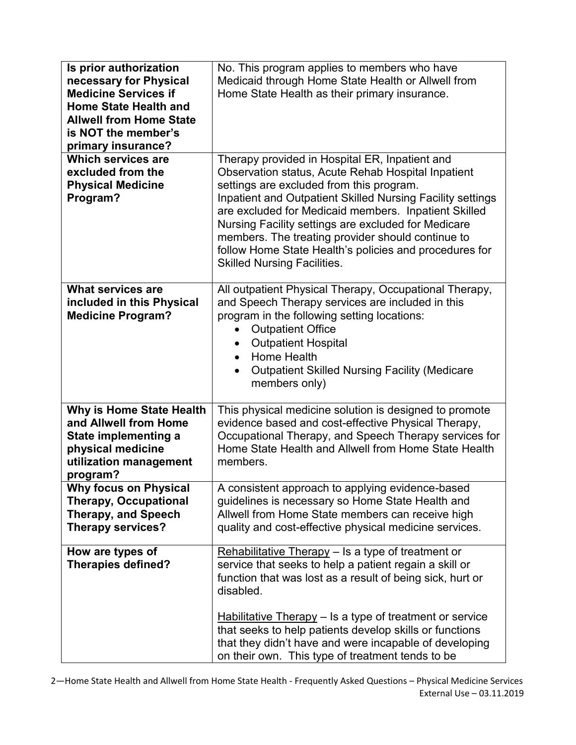| Is prior authorization<br>necessary for Physical<br><b>Medicine Services if</b><br><b>Home State Health and</b><br><b>Allwell from Home State</b><br>is NOT the member's | No. This program applies to members who have<br>Medicaid through Home State Health or Allwell from<br>Home State Health as their primary insurance.                                                                                                                                                                                                                                                                                                                                |
|--------------------------------------------------------------------------------------------------------------------------------------------------------------------------|------------------------------------------------------------------------------------------------------------------------------------------------------------------------------------------------------------------------------------------------------------------------------------------------------------------------------------------------------------------------------------------------------------------------------------------------------------------------------------|
| primary insurance?<br><b>Which services are</b><br>excluded from the<br><b>Physical Medicine</b><br>Program?                                                             | Therapy provided in Hospital ER, Inpatient and<br>Observation status, Acute Rehab Hospital Inpatient<br>settings are excluded from this program.<br>Inpatient and Outpatient Skilled Nursing Facility settings<br>are excluded for Medicaid members. Inpatient Skilled<br>Nursing Facility settings are excluded for Medicare<br>members. The treating provider should continue to<br>follow Home State Health's policies and procedures for<br><b>Skilled Nursing Facilities.</b> |
| <b>What services are</b><br>included in this Physical<br><b>Medicine Program?</b>                                                                                        | All outpatient Physical Therapy, Occupational Therapy,<br>and Speech Therapy services are included in this<br>program in the following setting locations:<br><b>Outpatient Office</b><br>$\bullet$<br><b>Outpatient Hospital</b><br>$\bullet$<br>Home Health<br>$\bullet$<br><b>Outpatient Skilled Nursing Facility (Medicare</b><br>members only)                                                                                                                                 |
| Why is Home State Health<br>and Allwell from Home<br><b>State implementing a</b><br>physical medicine<br>utilization management<br>program?                              | This physical medicine solution is designed to promote<br>evidence based and cost-effective Physical Therapy,<br>Occupational Therapy, and Speech Therapy services for<br>Home State Health and Allwell from Home State Health<br>members.                                                                                                                                                                                                                                         |
| <b>Why focus on Physical</b><br><b>Therapy, Occupational</b><br><b>Therapy, and Speech</b><br><b>Therapy services?</b>                                                   | A consistent approach to applying evidence-based<br>quidelines is necessary so Home State Health and<br>Allwell from Home State members can receive high<br>quality and cost-effective physical medicine services.                                                                                                                                                                                                                                                                 |
| How are types of<br><b>Therapies defined?</b>                                                                                                                            | Rehabilitative Therapy $-$ Is a type of treatment or<br>service that seeks to help a patient regain a skill or<br>function that was lost as a result of being sick, hurt or<br>disabled.<br><b>Habilitative Therapy</b> – Is a type of treatment or service<br>that seeks to help patients develop skills or functions<br>that they didn't have and were incapable of developing<br>on their own. This type of treatment tends to be                                               |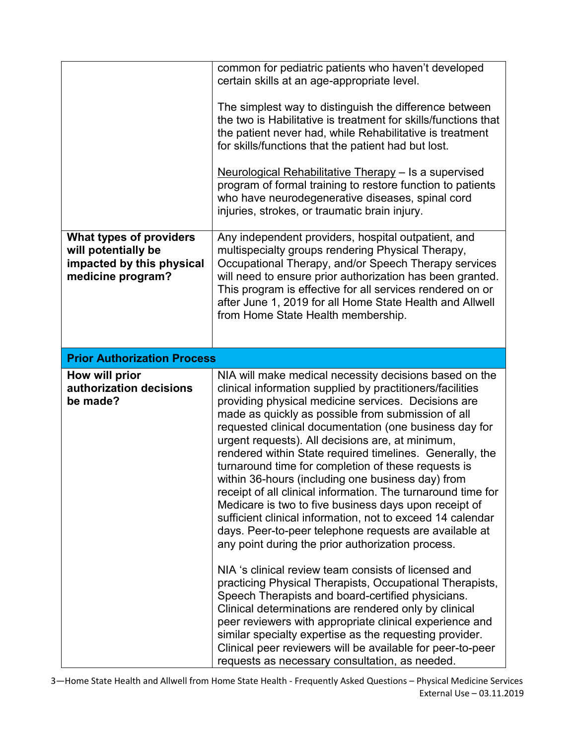|                                                                                                         | common for pediatric patients who haven't developed<br>certain skills at an age-appropriate level.                                                                                                                                                                                                                                                                                                                                                                                                                                                                                                                                                                                                                                                                                                                           |
|---------------------------------------------------------------------------------------------------------|------------------------------------------------------------------------------------------------------------------------------------------------------------------------------------------------------------------------------------------------------------------------------------------------------------------------------------------------------------------------------------------------------------------------------------------------------------------------------------------------------------------------------------------------------------------------------------------------------------------------------------------------------------------------------------------------------------------------------------------------------------------------------------------------------------------------------|
|                                                                                                         | The simplest way to distinguish the difference between<br>the two is Habilitative is treatment for skills/functions that<br>the patient never had, while Rehabilitative is treatment<br>for skills/functions that the patient had but lost.                                                                                                                                                                                                                                                                                                                                                                                                                                                                                                                                                                                  |
|                                                                                                         | Neurological Rehabilitative Therapy - Is a supervised<br>program of formal training to restore function to patients<br>who have neurodegenerative diseases, spinal cord<br>injuries, strokes, or traumatic brain injury.                                                                                                                                                                                                                                                                                                                                                                                                                                                                                                                                                                                                     |
| <b>What types of providers</b><br>will potentially be<br>impacted by this physical<br>medicine program? | Any independent providers, hospital outpatient, and<br>multispecialty groups rendering Physical Therapy,<br>Occupational Therapy, and/or Speech Therapy services<br>will need to ensure prior authorization has been granted.<br>This program is effective for all services rendered on or<br>after June 1, 2019 for all Home State Health and Allwell<br>from Home State Health membership.                                                                                                                                                                                                                                                                                                                                                                                                                                 |
| <b>Prior Authorization Process</b>                                                                      |                                                                                                                                                                                                                                                                                                                                                                                                                                                                                                                                                                                                                                                                                                                                                                                                                              |
| How will prior<br>authorization decisions<br>be made?                                                   | NIA will make medical necessity decisions based on the<br>clinical information supplied by practitioners/facilities<br>providing physical medicine services. Decisions are<br>made as quickly as possible from submission of all<br>requested clinical documentation (one business day for<br>urgent requests). All decisions are, at minimum,<br>rendered within State required timelines. Generally, the<br>turnaround time for completion of these requests is<br>within 36-hours (including one business day) from<br>receipt of all clinical information. The turnaround time for<br>Medicare is two to five business days upon receipt of<br>sufficient clinical information, not to exceed 14 calendar<br>days. Peer-to-peer telephone requests are available at<br>any point during the prior authorization process. |
|                                                                                                         | NIA 's clinical review team consists of licensed and<br>practicing Physical Therapists, Occupational Therapists,<br>Speech Therapists and board-certified physicians.<br>Clinical determinations are rendered only by clinical<br>peer reviewers with appropriate clinical experience and<br>similar specialty expertise as the requesting provider.<br>Clinical peer reviewers will be available for peer-to-peer<br>requests as necessary consultation, as needed.                                                                                                                                                                                                                                                                                                                                                         |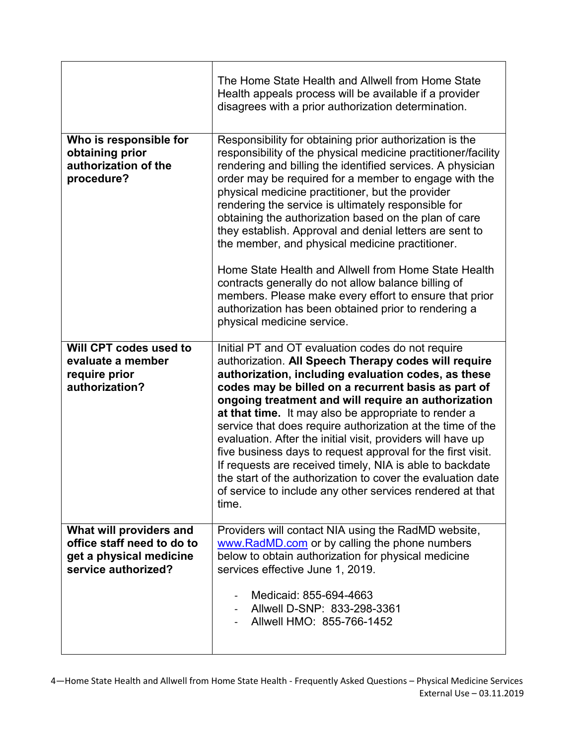|                                                                                                         | The Home State Health and Allwell from Home State<br>Health appeals process will be available if a provider<br>disagrees with a prior authorization determination.                                                                                                                                                                                                                                                                                                                                                                                                                                                                                                                                                                                                                               |
|---------------------------------------------------------------------------------------------------------|--------------------------------------------------------------------------------------------------------------------------------------------------------------------------------------------------------------------------------------------------------------------------------------------------------------------------------------------------------------------------------------------------------------------------------------------------------------------------------------------------------------------------------------------------------------------------------------------------------------------------------------------------------------------------------------------------------------------------------------------------------------------------------------------------|
| Who is responsible for<br>obtaining prior<br>authorization of the<br>procedure?                         | Responsibility for obtaining prior authorization is the<br>responsibility of the physical medicine practitioner/facility<br>rendering and billing the identified services. A physician<br>order may be required for a member to engage with the<br>physical medicine practitioner, but the provider<br>rendering the service is ultimately responsible for<br>obtaining the authorization based on the plan of care<br>they establish. Approval and denial letters are sent to<br>the member, and physical medicine practitioner.<br>Home State Health and Allwell from Home State Health<br>contracts generally do not allow balance billing of<br>members. Please make every effort to ensure that prior<br>authorization has been obtained prior to rendering a<br>physical medicine service. |
| Will CPT codes used to                                                                                  | Initial PT and OT evaluation codes do not require                                                                                                                                                                                                                                                                                                                                                                                                                                                                                                                                                                                                                                                                                                                                                |
| evaluate a member<br>require prior<br>authorization?                                                    | authorization. All Speech Therapy codes will require<br>authorization, including evaluation codes, as these<br>codes may be billed on a recurrent basis as part of<br>ongoing treatment and will require an authorization<br>at that time. It may also be appropriate to render a<br>service that does require authorization at the time of the<br>evaluation. After the initial visit, providers will have up<br>five business days to request approval for the first visit.<br>If requests are received timely, NIA is able to backdate<br>the start of the authorization to cover the evaluation date<br>of service to include any other services rendered at that<br>time.                                                                                                                   |
| What will providers and<br>office staff need to do to<br>get a physical medicine<br>service authorized? | Providers will contact NIA using the RadMD website,<br>www.RadMD.com or by calling the phone numbers<br>below to obtain authorization for physical medicine<br>services effective June 1, 2019.                                                                                                                                                                                                                                                                                                                                                                                                                                                                                                                                                                                                  |
|                                                                                                         | Medicaid: 855-694-4663<br>Allwell D-SNP: 833-298-3361<br>Allwell HMO: 855-766-1452                                                                                                                                                                                                                                                                                                                                                                                                                                                                                                                                                                                                                                                                                                               |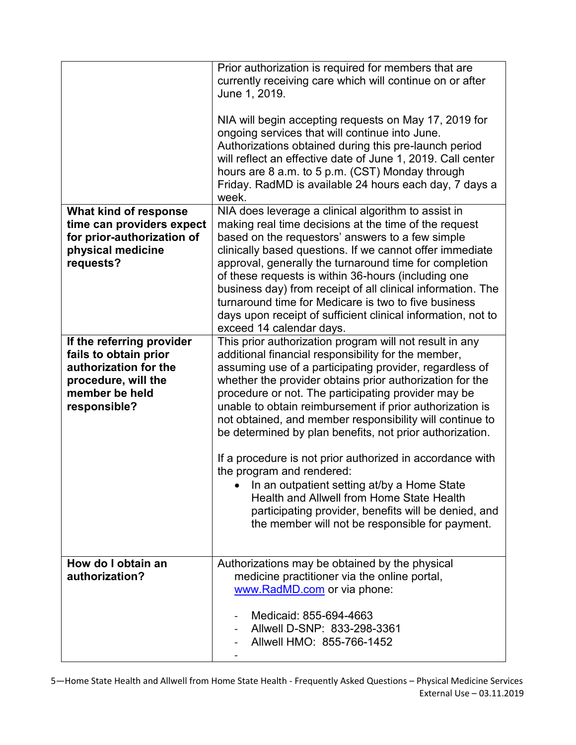|                                                                                                                                      | Prior authorization is required for members that are<br>currently receiving care which will continue on or after<br>June 1, 2019.<br>NIA will begin accepting requests on May 17, 2019 for<br>ongoing services that will continue into June.<br>Authorizations obtained during this pre-launch period<br>will reflect an effective date of June 1, 2019. Call center<br>hours are 8 a.m. to 5 p.m. (CST) Monday through<br>Friday. RadMD is available 24 hours each day, 7 days a<br>week.                                                                                                                                                                                                                                                                                        |
|--------------------------------------------------------------------------------------------------------------------------------------|-----------------------------------------------------------------------------------------------------------------------------------------------------------------------------------------------------------------------------------------------------------------------------------------------------------------------------------------------------------------------------------------------------------------------------------------------------------------------------------------------------------------------------------------------------------------------------------------------------------------------------------------------------------------------------------------------------------------------------------------------------------------------------------|
| What kind of response<br>time can providers expect<br>for prior-authorization of<br>physical medicine<br>requests?                   | NIA does leverage a clinical algorithm to assist in<br>making real time decisions at the time of the request<br>based on the requestors' answers to a few simple<br>clinically based questions. If we cannot offer immediate<br>approval, generally the turnaround time for completion<br>of these requests is within 36-hours (including one<br>business day) from receipt of all clinical information. The<br>turnaround time for Medicare is two to five business<br>days upon receipt of sufficient clinical information, not to<br>exceed 14 calendar days.                                                                                                                                                                                                                  |
| If the referring provider<br>fails to obtain prior<br>authorization for the<br>procedure, will the<br>member be held<br>responsible? | This prior authorization program will not result in any<br>additional financial responsibility for the member,<br>assuming use of a participating provider, regardless of<br>whether the provider obtains prior authorization for the<br>procedure or not. The participating provider may be<br>unable to obtain reimbursement if prior authorization is<br>not obtained, and member responsibility will continue to<br>be determined by plan benefits, not prior authorization.<br>If a procedure is not prior authorized in accordance with<br>the program and rendered:<br>In an outpatient setting at/by a Home State<br>Health and Allwell from Home State Health<br>participating provider, benefits will be denied, and<br>the member will not be responsible for payment. |
| How do I obtain an<br>authorization?                                                                                                 | Authorizations may be obtained by the physical<br>medicine practitioner via the online portal,<br>www.RadMD.com or via phone:<br>Medicaid: 855-694-4663<br>Allwell D-SNP: 833-298-3361<br>Allwell HMO: 855-766-1452                                                                                                                                                                                                                                                                                                                                                                                                                                                                                                                                                               |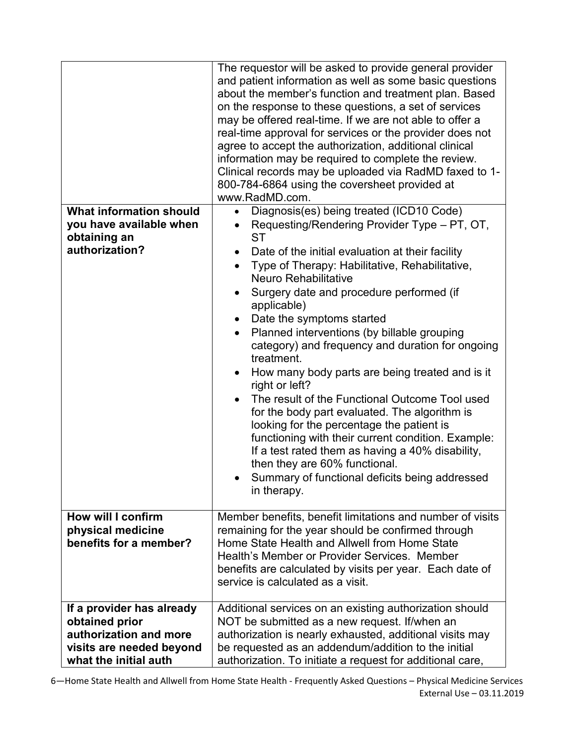| <b>What information should</b><br>you have available when<br>obtaining an<br>authorization?                                | The requestor will be asked to provide general provider<br>and patient information as well as some basic questions<br>about the member's function and treatment plan. Based<br>on the response to these questions, a set of services<br>may be offered real-time. If we are not able to offer a<br>real-time approval for services or the provider does not<br>agree to accept the authorization, additional clinical<br>information may be required to complete the review.<br>Clinical records may be uploaded via RadMD faxed to 1-<br>800-784-6864 using the coversheet provided at<br>www.RadMD.com.<br>Diagnosis(es) being treated (ICD10 Code)<br>$\bullet$<br>Requesting/Rendering Provider Type – PT, OT,<br>$\bullet$<br><b>ST</b><br>Date of the initial evaluation at their facility<br>$\bullet$<br>Type of Therapy: Habilitative, Rehabilitative,<br>$\bullet$<br><b>Neuro Rehabilitative</b><br>Surgery date and procedure performed (if<br>$\bullet$<br>applicable)<br>Date the symptoms started<br>$\bullet$<br>Planned interventions (by billable grouping<br>$\bullet$<br>category) and frequency and duration for ongoing<br>treatment.<br>How many body parts are being treated and is it<br>$\bullet$<br>right or left?<br>The result of the Functional Outcome Tool used<br>for the body part evaluated. The algorithm is<br>looking for the percentage the patient is<br>functioning with their current condition. Example:<br>If a test rated them as having a 40% disability,<br>then they are 60% functional. |
|----------------------------------------------------------------------------------------------------------------------------|------------------------------------------------------------------------------------------------------------------------------------------------------------------------------------------------------------------------------------------------------------------------------------------------------------------------------------------------------------------------------------------------------------------------------------------------------------------------------------------------------------------------------------------------------------------------------------------------------------------------------------------------------------------------------------------------------------------------------------------------------------------------------------------------------------------------------------------------------------------------------------------------------------------------------------------------------------------------------------------------------------------------------------------------------------------------------------------------------------------------------------------------------------------------------------------------------------------------------------------------------------------------------------------------------------------------------------------------------------------------------------------------------------------------------------------------------------------------------------------------------------------------------------------|
|                                                                                                                            | Summary of functional deficits being addressed<br>in therapy.                                                                                                                                                                                                                                                                                                                                                                                                                                                                                                                                                                                                                                                                                                                                                                                                                                                                                                                                                                                                                                                                                                                                                                                                                                                                                                                                                                                                                                                                            |
| How will I confirm<br>physical medicine<br>benefits for a member?                                                          | Member benefits, benefit limitations and number of visits<br>remaining for the year should be confirmed through<br>Home State Health and Allwell from Home State<br>Health's Member or Provider Services. Member<br>benefits are calculated by visits per year. Each date of<br>service is calculated as a visit.                                                                                                                                                                                                                                                                                                                                                                                                                                                                                                                                                                                                                                                                                                                                                                                                                                                                                                                                                                                                                                                                                                                                                                                                                        |
| If a provider has already<br>obtained prior<br>authorization and more<br>visits are needed beyond<br>what the initial auth | Additional services on an existing authorization should<br>NOT be submitted as a new request. If/when an<br>authorization is nearly exhausted, additional visits may<br>be requested as an addendum/addition to the initial<br>authorization. To initiate a request for additional care,                                                                                                                                                                                                                                                                                                                                                                                                                                                                                                                                                                                                                                                                                                                                                                                                                                                                                                                                                                                                                                                                                                                                                                                                                                                 |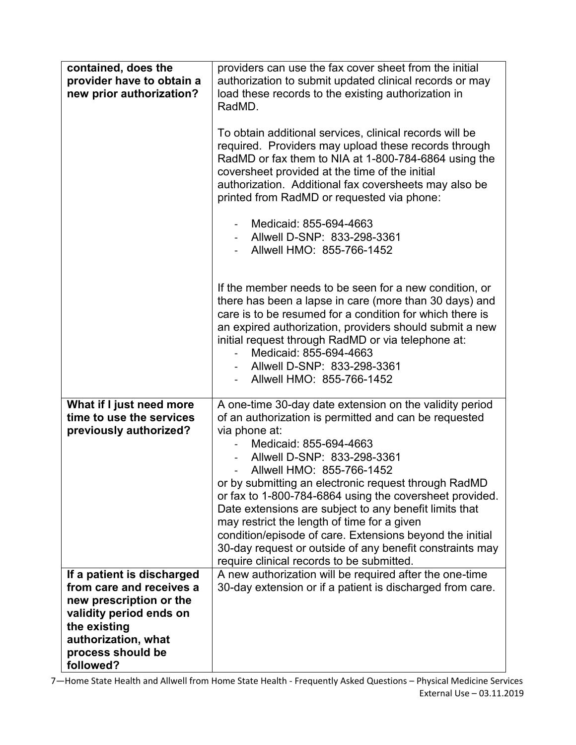| contained, does the<br>provider have to obtain a<br>new prior authorization?                                                                                                          | providers can use the fax cover sheet from the initial<br>authorization to submit updated clinical records or may<br>load these records to the existing authorization in<br>RadMD.<br>To obtain additional services, clinical records will be<br>required. Providers may upload these records through<br>RadMD or fax them to NIA at 1-800-784-6864 using the<br>coversheet provided at the time of the initial<br>authorization. Additional fax coversheets may also be<br>printed from RadMD or requested via phone:<br>Medicaid: 855-694-4663<br>Allwell D-SNP: 833-298-3361                                          |
|---------------------------------------------------------------------------------------------------------------------------------------------------------------------------------------|--------------------------------------------------------------------------------------------------------------------------------------------------------------------------------------------------------------------------------------------------------------------------------------------------------------------------------------------------------------------------------------------------------------------------------------------------------------------------------------------------------------------------------------------------------------------------------------------------------------------------|
|                                                                                                                                                                                       | Allwell HMO: 855-766-1452<br>If the member needs to be seen for a new condition, or<br>there has been a lapse in care (more than 30 days) and                                                                                                                                                                                                                                                                                                                                                                                                                                                                            |
|                                                                                                                                                                                       | care is to be resumed for a condition for which there is<br>an expired authorization, providers should submit a new<br>initial request through RadMD or via telephone at:<br>Medicaid: 855-694-4663<br>Allwell D-SNP: 833-298-3361<br>Allwell HMO: 855-766-1452                                                                                                                                                                                                                                                                                                                                                          |
| What if I just need more<br>time to use the services<br>previously authorized?                                                                                                        | A one-time 30-day date extension on the validity period<br>of an authorization is permitted and can be requested<br>via phone at:<br>Medicaid: 855-694-4663<br>Allwell D-SNP: 833-298-3361<br>Allwell HMO: 855-766-1452<br>or by submitting an electronic request through RadMD<br>or fax to 1-800-784-6864 using the coversheet provided.<br>Date extensions are subject to any benefit limits that<br>may restrict the length of time for a given<br>condition/episode of care. Extensions beyond the initial<br>30-day request or outside of any benefit constraints may<br>require clinical records to be submitted. |
| If a patient is discharged<br>from care and receives a<br>new prescription or the<br>validity period ends on<br>the existing<br>authorization, what<br>process should be<br>followed? | A new authorization will be required after the one-time<br>30-day extension or if a patient is discharged from care.                                                                                                                                                                                                                                                                                                                                                                                                                                                                                                     |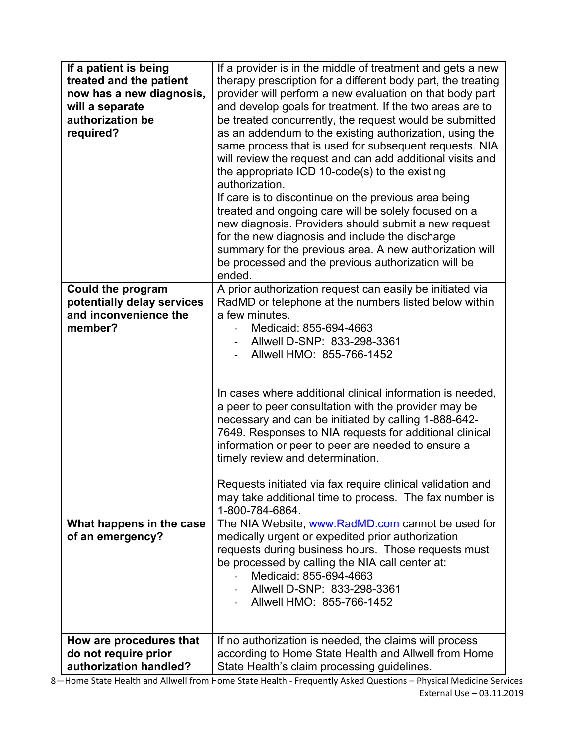| If a patient is being<br>treated and the patient<br>now has a new diagnosis,<br>will a separate<br>authorization be<br>required? | If a provider is in the middle of treatment and gets a new<br>therapy prescription for a different body part, the treating<br>provider will perform a new evaluation on that body part<br>and develop goals for treatment. If the two areas are to<br>be treated concurrently, the request would be submitted<br>as an addendum to the existing authorization, using the<br>same process that is used for subsequent requests. NIA<br>will review the request and can add additional visits and<br>the appropriate ICD 10-code(s) to the existing<br>authorization.<br>If care is to discontinue on the previous area being<br>treated and ongoing care will be solely focused on a<br>new diagnosis. Providers should submit a new request<br>for the new diagnosis and include the discharge<br>summary for the previous area. A new authorization will<br>be processed and the previous authorization will be<br>ended. |
|----------------------------------------------------------------------------------------------------------------------------------|----------------------------------------------------------------------------------------------------------------------------------------------------------------------------------------------------------------------------------------------------------------------------------------------------------------------------------------------------------------------------------------------------------------------------------------------------------------------------------------------------------------------------------------------------------------------------------------------------------------------------------------------------------------------------------------------------------------------------------------------------------------------------------------------------------------------------------------------------------------------------------------------------------------------------|
| <b>Could the program</b><br>potentially delay services<br>and inconvenience the<br>member?                                       | A prior authorization request can easily be initiated via<br>RadMD or telephone at the numbers listed below within<br>a few minutes.<br>Medicaid: 855-694-4663<br>Allwell D-SNP: 833-298-3361<br>Allwell HMO: 855-766-1452<br>In cases where additional clinical information is needed,<br>a peer to peer consultation with the provider may be<br>necessary and can be initiated by calling 1-888-642-<br>7649. Responses to NIA requests for additional clinical<br>information or peer to peer are needed to ensure a<br>timely review and determination.<br>Requests initiated via fax require clinical validation and<br>may take additional time to process. The fax number is                                                                                                                                                                                                                                       |
| What happens in the case<br>of an emergency?                                                                                     | 1-800-784-6864.<br>The NIA Website, www.RadMD.com cannot be used for<br>medically urgent or expedited prior authorization<br>requests during business hours. Those requests must<br>be processed by calling the NIA call center at:<br>Medicaid: 855-694-4663<br>Allwell D-SNP: 833-298-3361<br>Allwell HMO: 855-766-1452                                                                                                                                                                                                                                                                                                                                                                                                                                                                                                                                                                                                  |
| How are procedures that<br>do not require prior<br>authorization handled?                                                        | If no authorization is needed, the claims will process<br>according to Home State Health and Allwell from Home<br>State Health's claim processing guidelines.                                                                                                                                                                                                                                                                                                                                                                                                                                                                                                                                                                                                                                                                                                                                                              |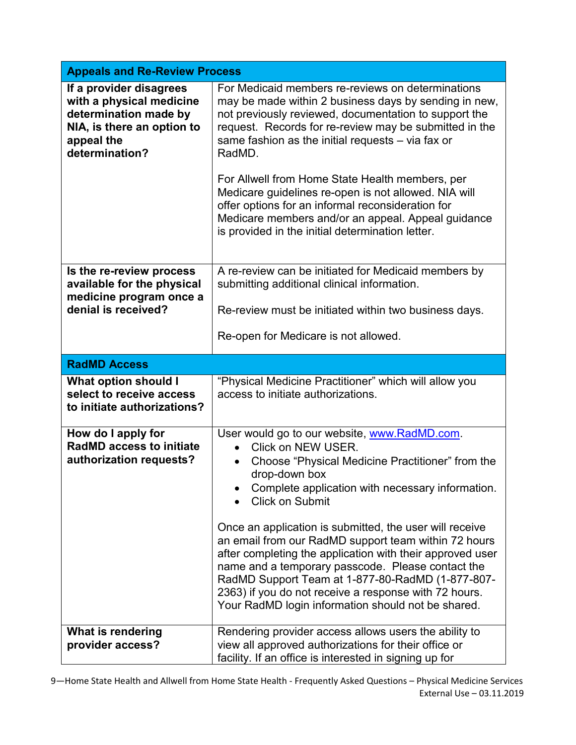| <b>Appeals and Re-Review Process</b>                                                                                                       |                                                                                                                                                                                                                                                                                                                                                                                                                                                                                                                                                                                                                                            |
|--------------------------------------------------------------------------------------------------------------------------------------------|--------------------------------------------------------------------------------------------------------------------------------------------------------------------------------------------------------------------------------------------------------------------------------------------------------------------------------------------------------------------------------------------------------------------------------------------------------------------------------------------------------------------------------------------------------------------------------------------------------------------------------------------|
| If a provider disagrees<br>with a physical medicine<br>determination made by<br>NIA, is there an option to<br>appeal the<br>determination? | For Medicaid members re-reviews on determinations<br>may be made within 2 business days by sending in new,<br>not previously reviewed, documentation to support the<br>request. Records for re-review may be submitted in the<br>same fashion as the initial requests - via fax or<br>RadMD.<br>For Allwell from Home State Health members, per<br>Medicare guidelines re-open is not allowed. NIA will<br>offer options for an informal reconsideration for<br>Medicare members and/or an appeal. Appeal guidance<br>is provided in the initial determination letter.                                                                     |
| Is the re-review process<br>available for the physical<br>medicine program once a<br>denial is received?                                   | A re-review can be initiated for Medicaid members by<br>submitting additional clinical information.<br>Re-review must be initiated within two business days.<br>Re-open for Medicare is not allowed.                                                                                                                                                                                                                                                                                                                                                                                                                                       |
| <b>RadMD Access</b>                                                                                                                        |                                                                                                                                                                                                                                                                                                                                                                                                                                                                                                                                                                                                                                            |
| What option should I<br>select to receive access<br>to initiate authorizations?                                                            | "Physical Medicine Practitioner" which will allow you<br>access to initiate authorizations.                                                                                                                                                                                                                                                                                                                                                                                                                                                                                                                                                |
| How do I apply for<br><b>RadMD access to initiate</b><br>authorization requests?                                                           | User would go to our website, www.RadMD.com.<br>Click on NEW USER.<br>Choose "Physical Medicine Practitioner" from the<br>$\bullet$<br>drop-down box<br>Complete application with necessary information.<br><b>Click on Submit</b><br>Once an application is submitted, the user will receive<br>an email from our RadMD support team within 72 hours<br>after completing the application with their approved user<br>name and a temporary passcode. Please contact the<br>RadMD Support Team at 1-877-80-RadMD (1-877-807-<br>2363) if you do not receive a response with 72 hours.<br>Your RadMD login information should not be shared. |
| What is rendering<br>provider access?                                                                                                      | Rendering provider access allows users the ability to<br>view all approved authorizations for their office or<br>facility. If an office is interested in signing up for                                                                                                                                                                                                                                                                                                                                                                                                                                                                    |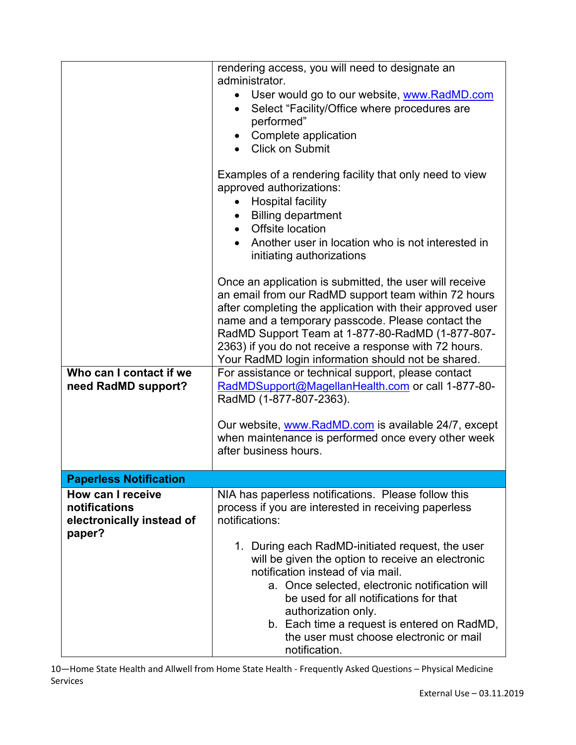|                                                                           | rendering access, you will need to designate an<br>administrator.                                                                                                                                                                                                                                                                                                                                    |
|---------------------------------------------------------------------------|------------------------------------------------------------------------------------------------------------------------------------------------------------------------------------------------------------------------------------------------------------------------------------------------------------------------------------------------------------------------------------------------------|
|                                                                           | User would go to our website, www.RadMD.com<br>$\bullet$<br>Select "Facility/Office where procedures are<br>$\bullet$<br>performed"                                                                                                                                                                                                                                                                  |
|                                                                           | Complete application                                                                                                                                                                                                                                                                                                                                                                                 |
|                                                                           | <b>Click on Submit</b>                                                                                                                                                                                                                                                                                                                                                                               |
|                                                                           | Examples of a rendering facility that only need to view<br>approved authorizations:<br><b>Hospital facility</b><br>$\bullet$                                                                                                                                                                                                                                                                         |
|                                                                           | <b>Billing department</b><br>$\bullet$                                                                                                                                                                                                                                                                                                                                                               |
|                                                                           | • Offsite location                                                                                                                                                                                                                                                                                                                                                                                   |
|                                                                           | Another user in location who is not interested in<br>initiating authorizations                                                                                                                                                                                                                                                                                                                       |
|                                                                           | Once an application is submitted, the user will receive<br>an email from our RadMD support team within 72 hours<br>after completing the application with their approved user<br>name and a temporary passcode. Please contact the<br>RadMD Support Team at 1-877-80-RadMD (1-877-807-<br>2363) if you do not receive a response with 72 hours.<br>Your RadMD login information should not be shared. |
| Who can I contact if we<br>need RadMD support?                            | For assistance or technical support, please contact<br>RadMDSupport@MagellanHealth.com or call 1-877-80-<br>RadMD (1-877-807-2363).                                                                                                                                                                                                                                                                  |
|                                                                           | Our website, www.RadMD.com is available 24/7, except<br>when maintenance is performed once every other week<br>after business hours.                                                                                                                                                                                                                                                                 |
| <b>Paperless Notification</b>                                             |                                                                                                                                                                                                                                                                                                                                                                                                      |
| How can I receive<br>notifications<br>electronically instead of<br>paper? | NIA has paperless notifications. Please follow this<br>process if you are interested in receiving paperless<br>notifications:                                                                                                                                                                                                                                                                        |
|                                                                           | 1. During each RadMD-initiated request, the user<br>will be given the option to receive an electronic<br>notification instead of via mail.<br>a. Once selected, electronic notification will<br>be used for all notifications for that<br>authorization only.<br>b. Each time a request is entered on RadMD,<br>the user must choose electronic or mail<br>notification.                             |